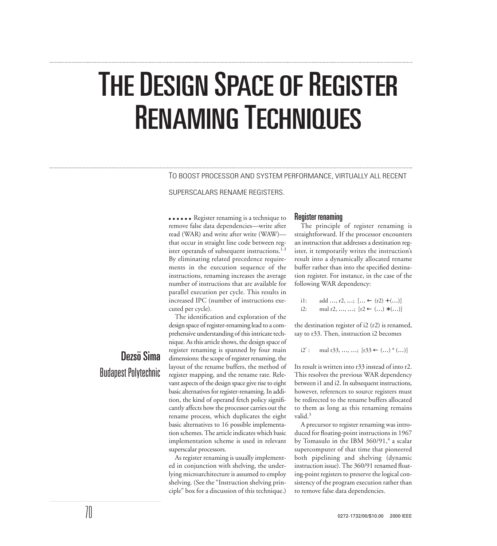# THE DESIGN SPACE OF REGISTER RENAMING TECHNIQUES

#### TO BOOST PROCESSOR AND SYSTEM PERFORMANCE, VIRTUALLY ALL RECENT

## SUPERSCALARS RENAME REGISTERS.

•••••• Register renaming is a technique to remove false data dependencies—write after read (WAR) and write after write (WAW) that occur in straight line code between register operands of subsequent instructions.<sup>1-3</sup> By eliminating related precedence requirements in the execution sequence of the instructions, renaming increases the average number of instructions that are available for parallel execution per cycle. This results in increased IPC (number of instructions executed per cycle).

The identification and exploration of the design space of register-renaming lead to a comprehensive understanding of this intricate technique. As this article shows, the design space of register renaming is spanned by four main dimensions: the scope of register renaming, the layout of the rename buffers, the method of register mapping, and the rename rate. Relevant aspects of the design space give rise to eight basic alternatives for register-renaming. In addition, the kind of operand fetch policy significantly affects how the processor carries out the rename process, which duplicates the eight basic alternatives to 16 possible implementation schemes. The article indicates which basic implementation scheme is used in relevant superscalar processors.

As register renaming is usually implemented in conjunction with shelving, the underlying microarchitecture is assumed to employ shelving. (See the "Instruction shelving principle" box for a discussion of this technique.)

## Register renaming

The principle of register renaming is straightforward. If the processor encounters an instruction that addresses a destination register, it temporarily writes the instruction's result into a dynamically allocated rename buffer rather than into the specified destination register. For instance, in the case of the following WAR dependency:

| $i1$ : | $add \ldots, r2, \ldots; [\ldots \leftarrow (r2) + (\ldots)]$ |
|--------|---------------------------------------------------------------|
| i2:    | mul r2, , ; $[r2 \leftarrow ()* ()$                           |

the destination register of i2 (r2) is renamed, say to r33. Then, instruction i2 becomes

i2′: mul r33, ..., ...; [r33 ← (...) \* (...)]

Its result is written into r33 instead of into r2. This resolves the previous WAR dependency between i1 and i2. In subsequent instructions, however, references to source registers must be redirected to the rename buffers allocated to them as long as this renaming remains valid.<sup>3</sup>

A precursor to register renaming was introduced for floating-point instructions in 1967 by Tomasulo in the IBM  $360/91$ ,<sup>4</sup> a scalar supercomputer of that time that pioneered both pipelining and shelving (dynamic instruction issue). The 360/91 renamed floating-point registers to preserve the logical consistency of the program execution rather than to remove false data dependencies.

# Dezsö Sima Budapest Polytechnic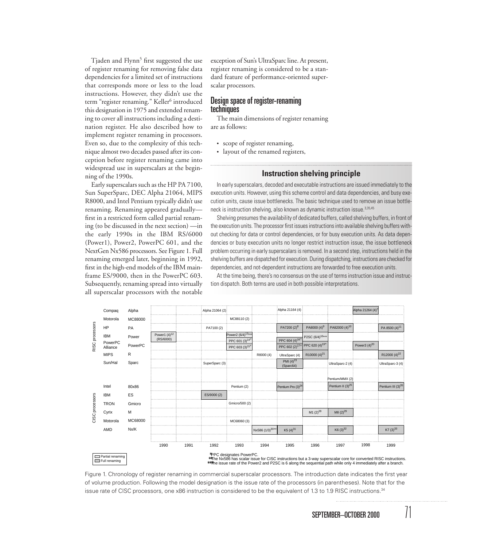Tjaden and Flynn<sup>5</sup> first suggested the use of register renaming for removing false data dependencies for a limited set of instructions that corresponds more or less to the load instructions. However, they didn't use the term "register renaming." Keller<sup>6</sup> introduced this designation in 1975 and extended renaming to cover all instructions including a destination register. He also described how to implement register renaming in processors. Even so, due to the complexity of this technique almost two decades passed after its conception before register renaming came into widespread use in superscalars at the beginning of the 1990s.

Early superscalars such as the HP PA 7100, Sun SuperSparc, DEC Alpha 21064, MIPS R8000, and Intel Pentium typically didn't use renaming. Renaming appeared gradually first in a restricted form called partial renaming (to be discussed in the next section) —in the early 1990s in the IBM RS/6000 (Power1), Power2, PowerPC 601, and the NextGen Nx586 processors. See Figure 1. Full renaming emerged later, beginning in 1992, first in the high-end models of the IBM mainframe ES/9000, then in the PowerPC 603. Subsequently, renaming spread into virtually all superscalar processors with the notable

exception of Sun's UltraSparc line. At present, register renaming is considered to be a standard feature of performance-oriented superscalar processors.

# Design space of register-renaming techniques

The main dimensions of register renaming are as follows:

- scope of register renaming,
- layout of the renamed registers,

# **Instruction shelving principle**

In early superscalars, decoded and executable instructions are issued immediately to the execution units. However, using this scheme control and data dependencies, and busy execution units, cause issue bottlenecks. The basic technique used to remove an issue bottleneck is instruction shelving, also known as dynamic instruction issue.<sup>3,35,45</sup>

Shelving presumes the availability of dedicated buffers, called shelving buffers, in front of the execution units. The processor first issues instructions into available shelving buffers without checking for data or control dependencies, or for busy execution units. As data dependencies or busy execution units no longer restrict instruction issue, the issue bottleneck problem occurring in early superscalars is removed. In a second step, instructions held in the shelving buffers are dispatched for execution. During dispatching, instructions are checked for dependencies, and not-dependent instructions are forwarded to free execution units.

At the time being, there's no consensus on the use of terms instruction issue and instruction dispatch. Both terms are used in both possible interpretations.



Figure 1. Chronology of register renaming in commercial superscalar processors. The introduction date indicates the first year of volume production. Following the model designation is the issue rate of the processors (in parentheses). Note that for the issue rate of CISC processors, one x86 instruction is considered to be the equivalent of 1.3 to 1.9 RISC instructions.34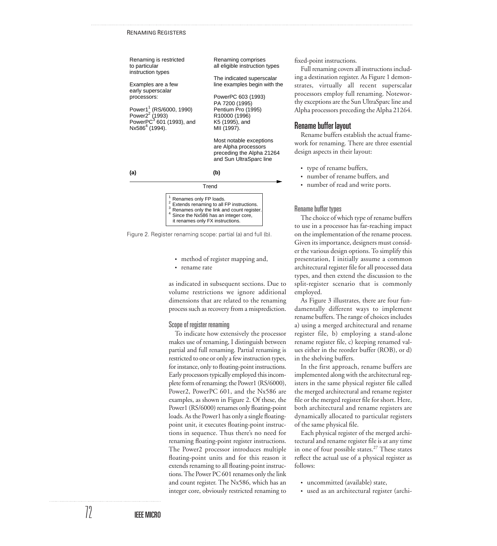| Renaming is restricted<br>to particular<br>instruction types                                                            |                                                                                                                                                                                                                           | Renaming comprises<br>all eligible instruction types                                                                                                            |  |  |  |  |  |
|-------------------------------------------------------------------------------------------------------------------------|---------------------------------------------------------------------------------------------------------------------------------------------------------------------------------------------------------------------------|-----------------------------------------------------------------------------------------------------------------------------------------------------------------|--|--|--|--|--|
| Examples are a few<br>early superscalar                                                                                 |                                                                                                                                                                                                                           | The indicated superscalar<br>line examples begin with the                                                                                                       |  |  |  |  |  |
| processors:                                                                                                             |                                                                                                                                                                                                                           | PowerPC 603 (1993)<br>PA 7200 (1995)<br>Pentium Pro (1995)<br>R10000 (1996)<br>K5 (1995), and<br>MII (1997).<br>Most notable exceptions<br>are Alpha processors |  |  |  |  |  |
| Power1 <sup>1</sup> (RS/6000, 1990)<br>Power $2^{2}$ (1993)<br>PowerPC $3601(1993)$ , and<br>Nx586 <sup>4</sup> (1994). |                                                                                                                                                                                                                           |                                                                                                                                                                 |  |  |  |  |  |
|                                                                                                                         |                                                                                                                                                                                                                           | preceding the Alpha 21264<br>and Sun UltraSparc line                                                                                                            |  |  |  |  |  |
| (a)                                                                                                                     |                                                                                                                                                                                                                           | (b)                                                                                                                                                             |  |  |  |  |  |
| Trend                                                                                                                   |                                                                                                                                                                                                                           |                                                                                                                                                                 |  |  |  |  |  |
|                                                                                                                         | Renames only FP loads.<br><sup>2</sup> Extends renaming to all FP instructions.<br><sup>3</sup> Renames only the link and count register.<br>$4$ Since the Nx586 has an integer core,<br>it renames only FX instructions. |                                                                                                                                                                 |  |  |  |  |  |

Figure 2. Register renaming scope: partial (a) and full (b).

- method of register mapping and,
- rename rate

as indicated in subsequent sections. Due to volume restrictions we ignore additional dimensions that are related to the renaming process such as recovery from a misprediction.

#### Scope of register renaming

To indicate how extensively the processor makes use of renaming, I distinguish between partial and full renaming. Partial renaming is restricted to one or only a few instruction types, for instance, only to floating-point instructions. Early processors typically employed this incomplete form of renaming; the Power1 (RS/6000), Power2, PowerPC 601, and the Nx586 are examples, as shown in Figure 2. Of these, the Power1 (RS/6000) renames only floating-point loads. As the Power1 has only a single floatingpoint unit, it executes floating-point instructions in sequence. Thus there's no need for renaming floating-point register instructions. The Power2 processor introduces multiple floating-point units and for this reason it extends renaming to all floating-point instructions. The Power PC 601 renames only the link and count register. The Nx586, which has an integer core, obviously restricted renaming to fixed-point instructions.

Full renaming covers all instructions including a destination register. As Figure 1 demonstrates, virtually all recent superscalar processors employ full renaming. Noteworthy exceptions are the Sun UltraSparc line and Alpha processors preceding the Alpha 21264.

## Rename buffer layout

Rename buffers establish the actual framework for renaming. There are three essential design aspects in their layout:

- type of rename buffers,
- number of rename buffers, and
- number of read and write ports.

## Rename buffer types

The choice of which type of rename buffers to use in a processor has far-reaching impact on the implementation of the rename process. Given its importance, designers must consider the various design options. To simplify this presentation, I initially assume a common architectural register file for all processed data types, and then extend the discussion to the split-register scenario that is commonly employed.

As Figure 3 illustrates, there are four fundamentally different ways to implement rename buffers. The range of choices includes a) using a merged architectural and rename register file, b) employing a stand-alone rename register file, c) keeping renamed values either in the reorder buffer (ROB), or d) in the shelving buffers.

In the first approach, rename buffers are implemented along with the architectural registers in the same physical register file called the merged architectural and rename register file or the merged register file for short. Here, both architectural and rename registers are dynamically allocated to particular registers of the same physical file.

Each physical register of the merged architectural and rename register file is at any time in one of four possible states.<sup>27</sup> These states reflect the actual use of a physical register as follows:

- uncommitted (available) state,
- used as an architectural register (archi-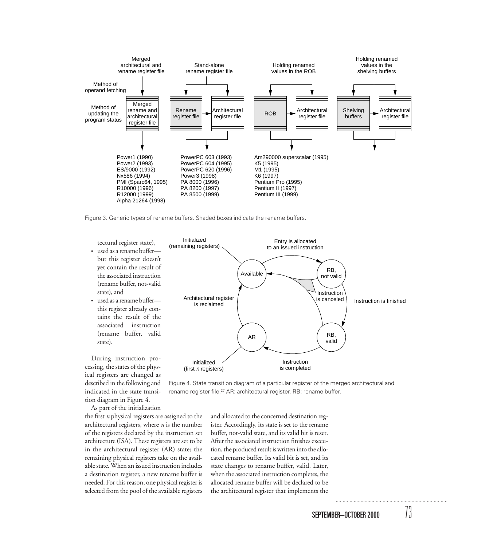

Figure 3. Generic types of rename buffers. Shaded boxes indicate the rename buffers.

tectural register state),

- used as a rename buffer but this register doesn't yet contain the result of the associated instruction (rename buffer, not-valid state), and
- used as a rename bufferthis register already contains the result of the associated instruction (rename buffer, valid state).

During instruction processing, the states of the physical registers are changed as described in the following and indicated in the state transition diagram in Figure 4.

As part of the initialization

the first *n* physical registers are assigned to the architectural registers, where *n* is the number of the registers declared by the instruction set architecture (ISA). These registers are set to be in the architectural register (AR) state; the remaining physical registers take on the available state. When an issued instruction includes a destination register, a new rename buffer is needed. For this reason, one physical register is selected from the pool of the available registers



Figure 4. State transition diagram of a particular register of the merged architectural and rename register file.<sup>27</sup> AR: architectural register, RB: rename buffer.

and allocated to the concerned destination register. Accordingly, its state is set to the rename buffer, not-valid state, and its valid bit is reset. After the associated instruction finishes execution, the produced result is written into the allocated rename buffer. Its valid bit is set, and its state changes to rename buffer, valid. Later, when the associated instruction completes, the allocated rename buffer will be declared to be the architectural register that implements the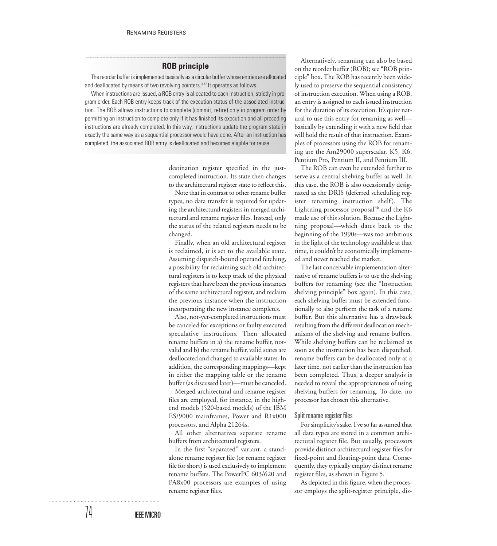## **ROB principle**

The reorder buffer is implemented basically as a circular buffer whose entries are allocated and deallocated by means of two revolving pointers.<sup>3,37</sup> It operates as follows.

When instructions are issued, a ROB entry is allocated to each instruction, strictly in program order. Each ROB entry keeps track of the execution status of the associated instruction. The ROB allows instructions to complete (commit, retire) only in program order by permitting an instruction to complete only if it has finished its execution and all preceding instructions are already completed. In this way, instructions update the program state in exactly the same way as a sequential processor would have done. After an instruction has completed, the associated ROB entry is deallocated and becomes eligible for reuse.

> destination register specified in the justcompleted instruction. Its state then changes to the architectural register state to reflect this.

> Note that in contrast to other rename buffer types, no data transfer is required for updating the architectural registers in merged architectural and rename register files. Instead, only the status of the related registers needs to be changed.

> Finally, when an old architectural register is reclaimed, it is set to the available state. Assuming dispatch-bound operand fetching, a possibility for reclaiming such old architectural registers is to keep track of the physical registers that have been the previous instances of the same architectural register, and reclaim the previous instance when the instruction incorporating the new instance completes.

> Also, not-yet-completed instructions must be canceled for exceptions or faulty executed speculative instructions. Then allocated rename buffers in a) the rename buffer, notvalid and b) the rename buffer, valid states are deallocated and changed to available states. In addition, the corresponding mappings—kept in either the mapping table or the rename buffer (as discussed later)—must be canceled.

> Merged architectural and rename register files are employed, for instance, in the highend models (520-based models) of the IBM ES/9000 mainframes, Power and R1x000 processors, and Alpha 21264s.

> All other alternatives separate rename buffers from architectural registers.

> In the first "separated" variant, a standalone rename register file (or rename register file for short) is used exclusively to implement rename buffers. The PowerPC 603/620 and PA8x00 processors are examples of using rename register files.

Alternatively, renaming can also be based on the reorder buffer (ROB); see "ROB principle" box. The ROB has recently been widely used to preserve the sequential consistency of instruction execution. When using a ROB, an entry is assigned to each issued instruction for the duration of its execution. It's quite natural to use this entry for renaming as well basically by extending it with a new field that will hold the result of that instruction. Examples of processors using the ROB for renaming are the Am29000 superscalar, K5, K6, Pentium Pro, Pentium II, and Pentium III.

The ROB can even be extended further to serve as a central shelving buffer as well. In this case, the ROB is also occasionally designated as the DRIS (deferred scheduling register renaming instruction shelf). The Lightning processor proposal $36$  and the K6 made use of this solution. Because the Lightning proposal—which dates back to the beginning of the 1990s—was too ambitious in the light of the technology available at that time, it couldn't be economically implemented and never reached the market.

The last conceivable implementation alternative of rename buffers is to use the shelving buffers for renaming (see the "Instruction shelving principle" box again). In this case, each shelving buffer must be extended functionally to also perform the task of a rename buffer. But this alternative has a drawback resulting from the different deallocation mechanisms of the shelving and rename buffers. While shelving buffers can be reclaimed as soon as the instruction has been dispatched, rename buffers can be deallocated only at a later time, not earlier than the instruction has been completed. Thus, a deeper analysis is needed to reveal the appropriateness of using shelving buffers for renaming. To date, no processor has chosen this alternative.

#### Split rename register files

For simplicity's sake, I've so far assumed that all data types are stored in a common architectural register file. But usually, processors provide distinct architectural register files for fixed-point and floating-point data. Consequently, they typically employ distinct rename register files, as shown in Figure 5.

As depicted in this figure, when the processor employs the split-register principle, dis-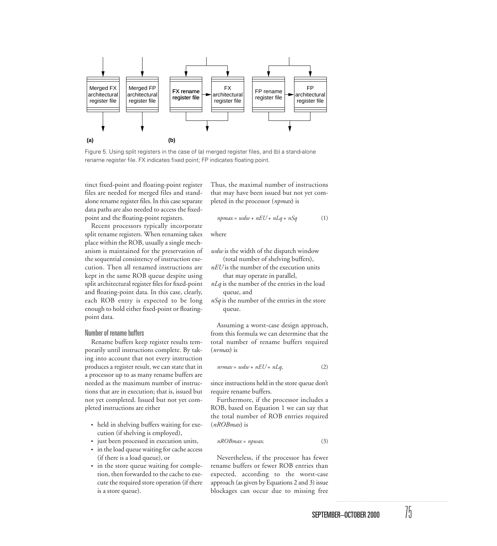

Figure 5. Using split registers in the case of (a) merged register files, and (b) a stand-alone rename register file. FX indicates fixed point; FP indicates floating point.

tinct fixed-point and floating-point register files are needed for merged files and standalone rename register files. In this case separate data paths are also needed to access the fixedpoint and the floating-point registers.

Recent processors typically incorporate split rename registers. When renaming takes place within the ROB, usually a single mechanism is maintained for the preservation of the sequential consistency of instruction execution. Then all renamed instructions are kept in the same ROB queue despite using split architectural register files for fixed-point and floating-point data. In this case, clearly, each ROB entry is expected to be long enough to hold either fixed-point or floatingpoint data.

#### Number of rename buffers

Rename buffers keep register results temporarily until instructions complete. By taking into account that not every instruction produces a register result, we can state that in a processor up to as many rename buffers are needed as the maximum number of instructions that are in execution; that is, issued but not yet completed. Issued but not yet completed instructions are either

- held in shelving buffers waiting for execution (if shelving is employed),
- just been processed in execution units,
- in the load queue waiting for cache access (if there is a load queue), or
- in the store queue waiting for completion, then forwarded to the cache to execute the required store operation (if there is a store queue).

Thus, the maximal number of instructions that may have been issued but not yet completed in the processor (*npmax*) is

$$
npmax = wdw + nEU + nLq + nSq
$$
 (1)

where

- *wdw* is the width of the dispatch window (total number of shelving buffers),
- *nEU* is the number of the execution units that may operate in parallel,
- *nLq* is the number of the entries in the load queue, and
- *nSq* is the number of the entries in the store queue.

Assuming a worst-case design approach, from this formula we can determine that the total number of rename buffers required (*nrmax*) is

$$
n\,x = wdw + nEU + nLq,\tag{2}
$$

since instructions held in the store queue don't require rename buffers.

Furthermore, if the processor includes a ROB, based on Equation 1 we can say that the total number of ROB entries required (*nROBmax*) is

$$
nROBmax = np\, \tag{3}
$$

Nevertheless, if the processor has fewer rename buffers or fewer ROB entries than expected, according to the worst-case approach (as given by Equations 2 and 3) issue blockages can occur due to missing free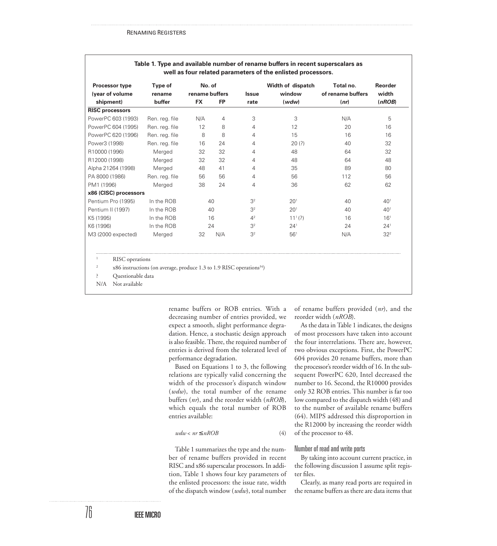| <b>Processor type</b>  | Type of<br>rename | No. of<br>rename buffers |           |                | Width of dispatch<br>window | Total no.<br>of rename buffers | Reorder<br>width |
|------------------------|-------------------|--------------------------|-----------|----------------|-----------------------------|--------------------------------|------------------|
| (year of volume        |                   |                          |           | <b>Issue</b>   |                             |                                |                  |
| shipment)              | buffer            | FX                       | <b>FP</b> | rate           | (wdw)                       | (nr)                           | (nROB)           |
| <b>RISC processors</b> |                   |                          |           |                |                             |                                |                  |
| PowerPC 603 (1993)     | Ren. reg. file    | N/A                      | 4         | 3              | 3                           | N/A                            | 5                |
| PowerPC 604 (1995)     | Ren. reg. file    | 12                       | 8         | 4              | 12                          | 20                             | 16               |
| PowerPC 620 (1996)     | Ren. reg. file    | 8                        | 8         | 4              | 15                          | 16                             | 16               |
| Power3 (1998)          | Ren. reg. file    | 16                       | 24        | 4              | 20(?)                       | 40                             | 32               |
| R10000 (1996)          | Merged            | 32                       | 32        | 4              | 48                          | 64                             | 32               |
| R12000 (1998)          | Merged            | 32                       | 32        | 4              | 48                          | 64                             | 48               |
| Alpha 21264 (1998)     | Merged            | 48                       | 41        | 4              | 35                          | 89                             | 80               |
| PA 8000 (1986)         | Ren. reg. file    | 56                       | 56        | 4              | 56                          | 112                            | 56               |
| PM1 (1996)             | Merged            | 38                       | 24        | 4              | 36                          | 62                             | 62               |
| x86 (CISC) processors  |                   |                          |           |                |                             |                                |                  |
| Pentium Pro (1995)     | In the ROB        | 40                       |           | 3 <sup>2</sup> | 20 <sup>1</sup>             | 40                             | 40 <sup>1</sup>  |
| Pentium II (1997)      | In the ROB        | 40                       |           | 3 <sup>2</sup> | 20 <sup>1</sup>             | 40                             | 40 <sup>1</sup>  |
| K5 (1995)              | In the ROB        | 16                       |           | 4 <sup>2</sup> | $111$ (?)                   | 16                             | 16 <sup>1</sup>  |
| K6 (1996)              | In the ROB        |                          | 24        | 3 <sup>2</sup> | $24^{1}$                    | 24                             | 24 <sup>1</sup>  |
| M3 (2000 expected)     | Merged            | 32                       | N/A       | 3 <sup>2</sup> | 56 <sup>1</sup>             | N/A                            | 32 <sup>2</sup>  |

**Table 1. Type and available number of rename buffers in recent superscalars as** 

RISC operations

 $2 \times 86$  instructions (on average, produce 1.3 to 1.9 RISC operations<sup>34</sup>)

? Questionable data

N/A Not available

rename buffers or ROB entries. With a decreasing number of entries provided, we expect a smooth, slight performance degradation. Hence, a stochastic design approach is also feasible. There, the required number of entries is derived from the tolerated level of performance degradation.

Based on Equations 1 to 3, the following relations are typically valid concerning the width of the processor's dispatch window (*wdw*), the total number of the rename buffers (*nr*), and the reorder width (*nROB*), which equals the total number of ROB entries available:

#### $wdw < nr \leq nROB$  (4)

Table 1 summarizes the type and the number of rename buffers provided in recent RISC and x86 superscalar processors. In addition, Table 1 shows four key parameters of the enlisted processors: the issue rate, width of the dispatch window (*wdw*), total number

of rename buffers provided (*nr*), and the reorder width (*nROB*).

As the data in Table 1 indicates, the designs of most processors have taken into account the four interrelations. There are, however, two obvious exceptions. First, the PowerPC 604 provides 20 rename buffers, more than the processor's reorder width of 16. In the subsequent PowerPC 620, Intel decreased the number to 16. Second, the R10000 provides only 32 ROB entries. This number is far too low compared to the dispatch width (48) and to the number of available rename buffers (64). MIPS addressed this disproportion in the R12000 by increasing the reorder width of the processor to 48.

Number of read and write ports

By taking into account current practice, in the following discussion I assume split register files.

Clearly, as many read ports are required in the rename buffers as there are data items that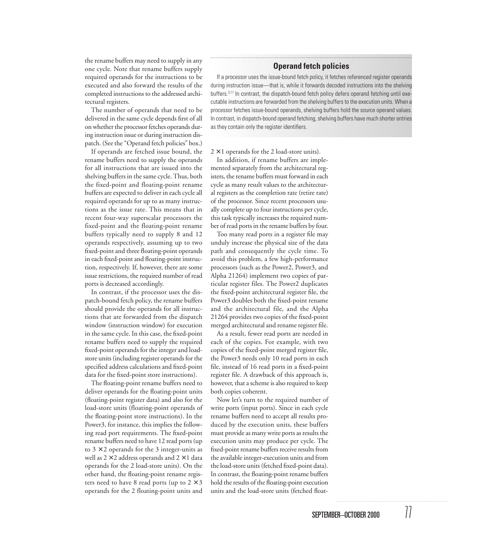the rename buffers may need to supply in any one cycle. Note that rename buffers supply required operands for the instructions to be executed and also forward the results of the completed instructions to the addressed architectural registers.

The number of operands that need to be delivered in the same cycle depends first of all on whether the processor fetches operands during instruction issue or during instruction dispatch. (See the "Operand fetch policies" box.)

If operands are fetched issue bound, the rename buffers need to supply the operands for all instructions that are issued into the shelving buffers in the same cycle. Thus, both the fixed-point and floating-point rename buffers are expected to deliver in each cycle all required operands for up to as many instructions as the issue rate. This means that in recent four-way superscalar processors the fixed-point and the floating-point rename buffers typically need to supply 8 and 12 operands respectively, assuming up to two fixed-point and three floating-point operands in each fixed-point and floating-point instruction, respectively. If, however, there are some issue restrictions, the required number of read ports is decreased accordingly.

In contrast, if the processor uses the dispatch-bound fetch policy, the rename buffers should provide the operands for all instructions that are forwarded from the dispatch window (instruction window) for execution in the same cycle. In this case, the fixed-point rename buffers need to supply the required fixed-point operands for the integer and loadstore units (including register operands for the specified address calculations and fixed-point data for the fixed-point store instructions).

The floating-point rename buffers need to deliver operands for the floating-point units (floating-point register data) and also for the load-store units (floating-point operands of the floating-point store instructions). In the Power3, for instance, this implies the following read port requirements. The fixed-point rename buffers need to have 12 read ports (up to  $3 \times 2$  operands for the 3 integer-units as well as  $2 \times 2$  address operands and  $2 \times 1$  data operands for the 2 load-store units). On the other hand, the floating-point rename registers need to have 8 read ports (up to  $2 \times 3$ operands for the 2 floating-point units and

# **Operand fetch policies**

If a processor uses the issue-bound fetch policy, it fetches referenced register operands during instruction issue—that is, while it forwards decoded instructions into the shelving buffers.<sup>3,11</sup> In contrast, the dispatch-bound fetch policy defers operand fetching until executable instructions are forwarded from the shelving buffers to the execution units. When a processor fetches issue-bound operands, shelving buffers hold the source operand values. In contrast, in dispatch-bound operand fetching, shelving buffers have much shorter entries as they contain only the register identifiers.

 $2 \times 1$  operands for the 2 load-store units).

In addition, if rename buffers are implemented separately from the architectural registers, the rename buffers must forward in each cycle as many result values to the architectural registers as the completion rate (retire rate) of the processor. Since recent processors usually complete up to four instructions per cycle, this task typically increases the required number of read ports in the rename buffers by four.

Too many read ports in a register file may unduly increase the physical size of the data path and consequently the cycle time. To avoid this problem, a few high-performance processors (such as the Power2, Power3, and Alpha 21264) implement two copies of particular register files. The Power2 duplicates the fixed-point architectural register file, the Power3 doubles both the fixed-point rename and the architectural file, and the Alpha 21264 provides two copies of the fixed-point merged architectural and rename register file.

As a result, fewer read ports are needed in each of the copies. For example, with two copies of the fixed-point merged register file, the Power3 needs only 10 read ports in each file, instead of 16 read ports in a fixed-point register file. A drawback of this approach is, however, that a scheme is also required to keep both copies coherent.

Now let's turn to the required number of write ports (input ports). Since in each cycle rename buffers need to accept all results produced by the execution units, these buffers must provide as many write ports as results the execution units may produce per cycle. The fixed-point rename buffers receive results from the available integer-execution units and from the load-store units (fetched fixed-point data). In contrast, the floating-point rename buffers hold the results of the floating-point execution units and the load-store units (fetched float-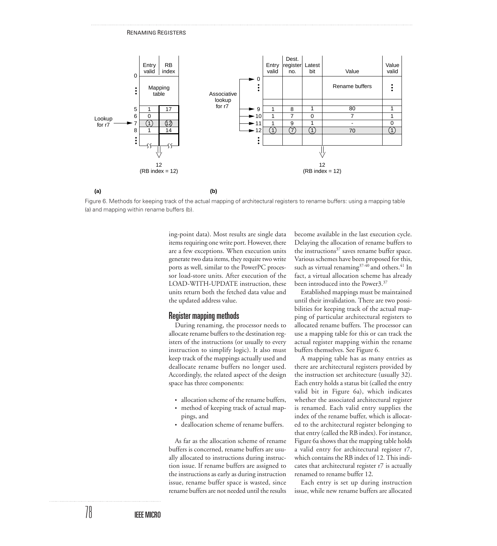#### RENAMING REGISTERS



Figure 6. Methods for keeping track of the actual mapping of architectural registers to rename buffers: using a mapping table (a) and mapping within rename buffers (b).

ing-point data). Most results are single data items requiring one write port. However, there are a few exceptions. When execution units generate two data items, they require two write ports as well, similar to the PowerPC processor load-store units. After execution of the LOAD-WITH-UPDATE instruction, these units return both the fetched data value and the updated address value.

## Register mapping methods

During renaming, the processor needs to allocate rename buffers to the destination registers of the instructions (or usually to every instruction to simplify logic). It also must keep track of the mappings actually used and deallocate rename buffers no longer used. Accordingly, the related aspect of the design space has three components:

- allocation scheme of the rename buffers,
- method of keeping track of actual mappings, and
- deallocation scheme of rename buffers.

As far as the allocation scheme of rename buffers is concerned, rename buffers are usually allocated to instructions during instruction issue. If rename buffers are assigned to the instructions as early as during instruction issue, rename buffer space is wasted, since rename buffers are not needed until the results become available in the last execution cycle. Delaying the allocation of rename buffers to the instructions $37$  saves rename buffer space. Various schemes have been proposed for this, such as virtual renaming<sup>37-40</sup> and others.<sup>41</sup> In fact, a virtual allocation scheme has already been introduced into the Power3.<sup>37</sup>

Established mappings must be maintained until their invalidation. There are two possibilities for keeping track of the actual mapping of particular architectural registers to allocated rename buffers. The processor can use a mapping table for this or can track the actual register mapping within the rename buffers themselves. See Figure 6.

A mapping table has as many entries as there are architectural registers provided by the instruction set architecture (usually 32). Each entry holds a status bit (called the entry valid bit in Figure 6a), which indicates whether the associated architectural register is renamed. Each valid entry supplies the index of the rename buffer, which is allocated to the architectural register belonging to that entry (called the RB index). For instance, Figure 6a shows that the mapping table holds a valid entry for architectural register r7, which contains the RB index of 12. This indicates that architectural register r7 is actually renamed to rename buffer 12.

Each entry is set up during instruction issue, while new rename buffers are allocated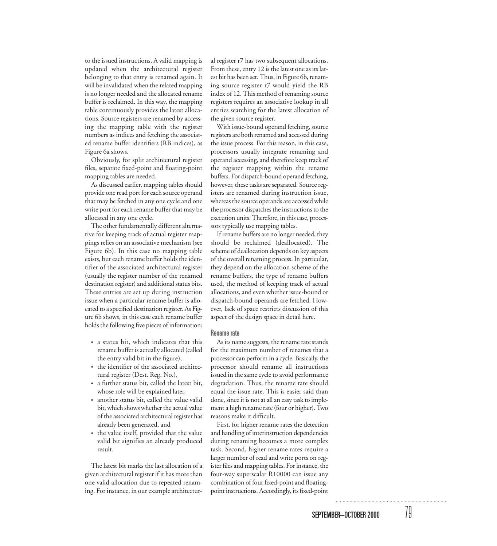to the issued instructions. A valid mapping is updated when the architectural register belonging to that entry is renamed again. It will be invalidated when the related mapping is no longer needed and the allocated rename buffer is reclaimed. In this way, the mapping table continuously provides the latest allocations. Source registers are renamed by accessing the mapping table with the register numbers as indices and fetching the associated rename buffer identifiers (RB indices), as Figure 6a shows.

Obviously, for split architectural register files, separate fixed-point and floating-point mapping tables are needed.

As discussed earlier, mapping tables should provide one read port for each source operand that may be fetched in any one cycle and one write port for each rename buffer that may be allocated in any one cycle.

The other fundamentally different alternative for keeping track of actual register mappings relies on an associative mechanism (see Figure 6b). In this case no mapping table exists, but each rename buffer holds the identifier of the associated architectural register (usually the register number of the renamed destination register) and additional status bits. These entries are set up during instruction issue when a particular rename buffer is allocated to a specified destination register. As Figure 6b shows, in this case each rename buffer holds the following five pieces of information:

- a status bit, which indicates that this rename buffer is actually allocated (called the entry valid bit in the figure),
- the identifier of the associated architectural register (Dest. Reg. No.),
- a further status bit, called the latest bit, whose role will be explained later,
- another status bit, called the value valid bit, which shows whether the actual value of the associated architectural register has already been generated, and
- the value itself, provided that the value valid bit signifies an already produced result.

The latest bit marks the last allocation of a given architectural register if it has more than one valid allocation due to repeated renaming. For instance, in our example architectural register r7 has two subsequent allocations. From these, entry 12 is the latest one as its latest bit has been set. Thus, in Figure 6b, renaming source register r7 would yield the RB index of 12. This method of renaming source registers requires an associative lookup in all entries searching for the latest allocation of the given source register.

With issue-bound operand fetching, source registers are both renamed and accessed during the issue process. For this reason, in this case, processors usually integrate renaming and operand accessing, and therefore keep track of the register mapping within the rename buffers. For dispatch-bound operand fetching, however, these tasks are separated. Source registers are renamed during instruction issue, whereas the source operands are accessed while the processor dispatches the instructions to the execution units. Therefore, in this case, processors typically use mapping tables.

If rename buffers are no longer needed, they should be reclaimed (deallocated). The scheme of deallocation depends on key aspects of the overall renaming process. In particular, they depend on the allocation scheme of the rename buffers, the type of rename buffers used, the method of keeping track of actual allocations, and even whether issue-bound or dispatch-bound operands are fetched. However, lack of space restricts discussion of this aspect of the design space in detail here.

#### Rename rate

As its name suggests, the rename rate stands for the maximum number of renames that a processor can perform in a cycle. Basically, the processor should rename all instructions issued in the same cycle to avoid performance degradation. Thus, the rename rate should equal the issue rate. This is easier said than done, since it is not at all an easy task to implement a high rename rate (four or higher). Two reasons make it difficult.

First, for higher rename rates the detection and handling of interinstruction dependencies during renaming becomes a more complex task. Second, higher rename rates require a larger number of read and write ports on register files and mapping tables. For instance, the four-way superscalar R10000 can issue any combination of four fixed-point and floatingpoint instructions. Accordingly, its fixed-point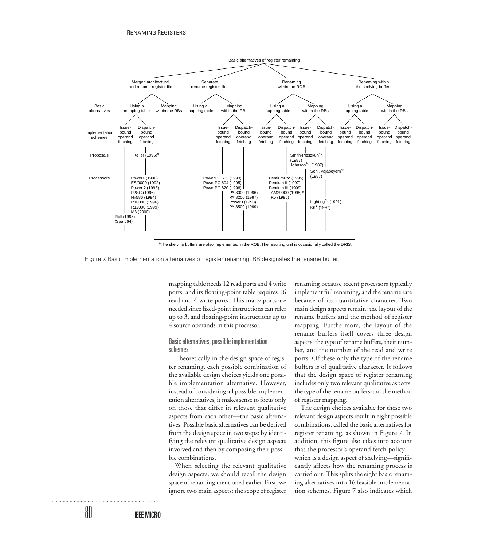RENAMING REGISTERS



Figure 7. Basic implementation alternatives of register renaming. RB designates the rename buffer.

mapping table needs 12 read ports and 4 write ports, and its floating-point table requires 16 read and 4 write ports. This many ports are needed since fixed-point instructions can refer up to 3, and floating-point instructions up to 4 source operands in this processor.

## Basic alternatives, possible implementation schemes

Theoretically in the design space of register renaming, each possible combination of the available design choices yields one possible implementation alternative. However, instead of considering all possible implementation alternatives, it makes sense to focus only on those that differ in relevant qualitative aspects from each other—the basic alternatives. Possible basic alternatives can be derived from the design space in two steps: by identifying the relevant qualitative design aspects involved and then by composing their possible combinations.

When selecting the relevant qualitative design aspects, we should recall the design space of renaming mentioned earlier. First, we ignore two main aspects: the scope of register renaming because recent processors typically implement full renaming, and the rename rate because of its quantitative character. Two main design aspects remain: the layout of the rename buffers and the method of register mapping. Furthermore, the layout of the rename buffers itself covers three design aspects: the type of rename buffers, their number, and the number of the read and write ports. Of these only the type of the rename buffers is of qualitative character. It follows that the design space of register renaming includes only two relevant qualitative aspects: the type of the rename buffers and the method of register mapping.

The design choices available for these two relevant design aspects result in eight possible combinations, called the basic alternatives for register renaming, as shown in Figure 7. In addition, this figure also takes into account that the processor's operand fetch policy which is a design aspect of shelving—significantly affects how the renaming process is carried out. This splits the eight basic renaming alternatives into 16 feasible implementation schemes. Figure 7 also indicates which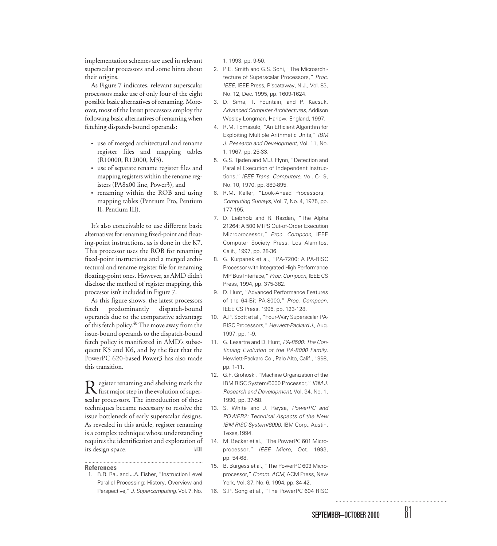implementation schemes are used in relevant superscalar processors and some hints about their origins.

As Figure 7 indicates, relevant superscalar processors make use of only four of the eight possible basic alternatives of renaming. Moreover, most of the latest processors employ the following basic alternatives of renaming when fetching dispatch-bound operands:

- use of merged architectural and rename register files and mapping tables (R10000, R12000, M3).
- use of separate rename register files and mapping registers within the rename registers (PA8x00 line, Power3), and
- renaming within the ROB and using mapping tables (Pentium Pro, Pentium II, Pentium III).

It's also conceivable to use different basic alternatives for renaming fixed-point and floating-point instructions, as is done in the K7. This processor uses the ROB for renaming fixed-point instructions and a merged architectural and rename register file for renaming floating-point ones. However, as AMD didn't disclose the method of register mapping, this processor isn't included in Figure 7.

As this figure shows, the latest processors fetch predominantly dispatch-bound operands due to the comparative advantage of this fetch policy.<sup>40</sup> The move away from the issue-bound operands to the dispatch-bound fetch policy is manifested in AMD's subsequent K5 and K6, and by the fact that the PowerPC 620-based Power3 has also made this transition.

Register renaming and shelving mark the first major step in the evolution of superscalar processors. The introduction of these techniques became necessary to resolve the issue bottleneck of early superscalar designs. As revealed in this article, register renaming is a complex technique whose understanding requires the identification and exploration of its design space.

#### **References**

1. B.R. Rau and J.A. Fisher, "Instruction Level Parallel Processing: History, Overview and Perspective," *J. Supercomputing,* Vol. 7. No.

1, 1993, pp. 9-50.

- 2. P.E. Smith and G.S. Sohi, "The Microarchitecture of Superscalar Processors," *Proc. IEEE,* IEEE Press, Piscataway, N.J., Vol. 83, No. 12, Dec. 1995, pp. 1609-1624.
- 3. D. Sima, T. Fountain, and P. Kacsuk, *Advanced Computer Architectures,* Addison Wesley Longman, Harlow, England, 1997.
- 4. R.M. Tomasulo, "An Efficient Algorithm for Exploiting Multiple Arithmetic Units," *IBM J. Research and Development,* Vol. 11, No. 1, 1967, pp. 25-33.
- 5. G.S. Tjaden and M.J. Flynn, "Detection and Parallel Execution of Independent Instructions," *IEEE Trans. Computers,* Vol. C-19, No. 10, 1970, pp. 889-895.
- 6. R.M. Keller, "Look-Ahead Processors," *Computing Surveys,* Vol. 7, No. 4, 1975, pp. 177-195.
- 7. D. Leibholz and R. Razdan, "The Alpha 21264: A 500 MIPS Out-of-Order Execution Microprocessor," *Proc. Compcon,* IEEE Computer Society Press, Los Alamitos, Calif., 1997, pp. 28-36.
- 8. G. Kurpanek et al., "PA-7200: A PA-RISC Processor with Integrated High Performance MP Bus Interface," *Proc. Compcon,* IEEE CS Press, 1994, pp. 375-382.
- 9. D. Hunt, "Advanced Performance Features of the 64-Bit PA-8000," *Proc. Compcon,* IEEE CS Press, 1995, pp. 123-128.
- 10. A.P. Scott et al., "Four-Way Superscalar PA-RISC Processors," *Hewlett-Packard J.,* Aug. 1997, pp. 1-9.
- 11. G. Lesartre and D. Hunt, *PA-8500: The Continuing Evolution of the PA-8000 Family,* Hewlett-Packard Co., Palo Alto, Calif., 1998, pp. 1-11.
- 12. G.F. Grohoski, "Machine Organization of the IBM RISC System/6000 Processor," *IBM J. Research and Development,* Vol. 34, No. 1, 1990, pp. 37-58.
- 13. S. White and J. Reysa, *PowerPC and POWER2: Technical Aspects of the New IBM RISC System/6000,* IBM Corp., Austin, Texas,1994.
- 14. M. Becker et al., "The PowerPC 601 Microprocessor," *IEEE Micro,* Oct. 1993, pp. 54-68.
- 15. B. Burgess et al., "The PowerPC 603 Microprocessor," *Comm. ACM,* ACM Press, New York, Vol. 37, No. 6, 1994, pp. 34-42.
- 16. S.P. Song et al., "The PowerPC 604 RISC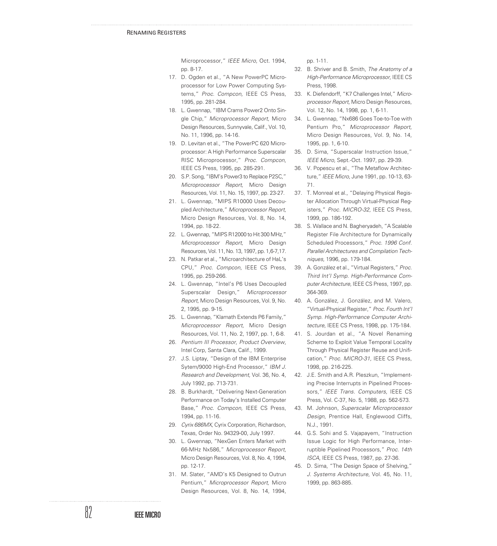Microprocessor," *IEEE Micro,* Oct. 1994, pp. 8-17.

- 17. D. Ogden et al., "A New PowerPC Microprocessor for Low Power Computing Systems," *Proc. Compcon,* IEEE CS Press, 1995, pp. 281-284.
- 18. L. Gwennap, "IBM Crams Power2 Onto Single Chip," *Microprocessor Report,* Micro Design Resources, Sunnyvale, Calif., Vol. 10, No. 11, 1996, pp. 14-16.
- 19. D. Levitan et al., "The PowerPC 620 Microprocessor: A High Performance Superscalar RISC Microprocessor," *Proc. Compcon,* IEEE CS Press, 1995, pp. 285-291.
- 20. S.P. Song, "IBM's Power3 to Replace P2SC," *Microprocessor Report,* Micro Design Resources, Vol. 11, No. 15, 1997, pp. 23-27.
- 21. L. Gwennap, "MIPS R10000 Uses Decoupled Architecture," *Microprocessor Report,* Micro Design Resources, Vol. 8, No. 14, 1994, pp. 18-22.
- 22. L. Gwennap, "MIPS R12000 to Hit 300 MHz," *Microprocessor Report,* Micro Design Resources, Vol. 11, No. 13, 1997, pp. 1,6-7,17.
- 23. N. Patkar et al., "Microarchitecture of HaL's CPU," *Proc. Compcon,* IEEE CS Press, 1995, pp. 259-266.
- 24. L. Gwennap, "Intel's P6 Uses Decoupled Superscalar Design," *Microprocessor Report,* Micro Design Resources, Vol. 9, No. 2, 1995, pp. 9-15.
- 25. L. Gwennap, "Klamath Extends P6 Family," *Microprocessor Report,* Micro Design Resources, Vol. 11, No. 2, 1997, pp. 1, 6-8.
- 26. *Pentium III Processor, Product Overview,* Intel Corp, Santa Clara, Calif., 1999.
- 27. J.S. Liptay, "Design of the IBM Enterprise Sytem/9000 High-End Processor," *IBM J. Research and Development,* Vol. 36, No. 4, July 1992, pp. 713-731.
- 28. B. Burkhardt, "Delivering Next-Generation Performance on Today's Installed Computer Base," *Proc. Compcon,* IEEE CS Press, 1994, pp. 11-16.
- 29. *Cyrix 686MX*, Cyrix Corporation, Richardson, Texas, Order No. 94329-00, July 1997.
- 30. L. Gwennap, "NexGen Enters Market with 66-MHz Nx586," *Microprocessor Report,* Micro Design Resources, Vol. 8, No. 4, 1994, pp. 12-17.
- 31. M. Slater, "AMD's K5 Designed to Outrun Pentium," *Microprocessor Report,* Micro Design Resources, Vol. 8, No. 14, 1994,

pp. 1-11.

- 32. B. Shriver and B. Smith, *The Anatomy of a High-Performance Microprocessor,* IEEE CS Press, 1998.
- 33. K. Diefendorff, "K7 Challenges Intel," *Microprocessor Report,* Micro Design Resources, Vol. 12, No. 14, 1998, pp. 1, 6-11.
- 34. L. Gwennap, "Nx686 Goes Toe-to-Toe with Pentium Pro," *Microprocessor Report,* Micro Design Resources, Vol. 9, No. 14, 1995, pp. 1, 6-10.
- 35. D. Sima, "Superscalar Instruction Issue," *IEEE Micro,* Sept.-Oct. 1997, pp. 29-39.
- 36. V. Popescu et al., "The Metaflow Architecture," *IEEE Micro,* June 1991, pp. 10-13, 63- 71.
- 37. T. Monreal et al., "Delaying Physical Register Allocation Through Virtual-Physical Registers," *Proc. MICRO-32,* IEEE CS Press, 1999, pp. 186-192.
- 38. S. Wallace and N. Bagheryadeh, "A Scalable Register File Architecture for Dynamically Scheduled Processors," *Proc. 1996 Conf. Parallel Architectures and Compilation Techniques,* 1996, pp. 179-184.
- 39. A. González et al., "Virtual Registers," *Proc. Third Int'l Symp. High-Performance Computer Architecture,* IEEE CS Press, 1997, pp. 364-369.
- 40. A. González, J. González, and M. Valero, "Virtual-Physical Register," *Proc. Fourth Int'l Symp. High-Performance Computer Architecture,* IEEE CS Press, 1998, pp. 175-184.
- 41. S. Jourdan et al., "A Novel Renaming Scheme to Exploit Value Temporal Locality Through Physical Register Reuse and Unification," *Proc. MICRO-31,* IEEE CS Press, 1998, pp. 216-225.
- 42. J.E. Smith and A.R. Pleszkun, "Implementing Precise Interrupts in Pipelined Processors," *IEEE Trans. Computers,* IEEE CS Press, Vol. C-37, No. 5, 1988, pp. 562-573.
- 43. M. Johnson, *Superscalar Microprocessor Design,* Prentice Hall, Englewood Cliffs, N.J., 1991.
- 44. G.S. Sohi and S. Vajapayem, "Instruction Issue Logic for High Performance, Interruptible Pipelined Processors," *Proc. 14th ISCA,* IEEE CS Press, 1987, pp. 27-36.
- 45. D. Sima, "The Design Space of Shelving," *J. Systems Architecture,* Vol. 45, No. 11, 1999, pp. 863-885.